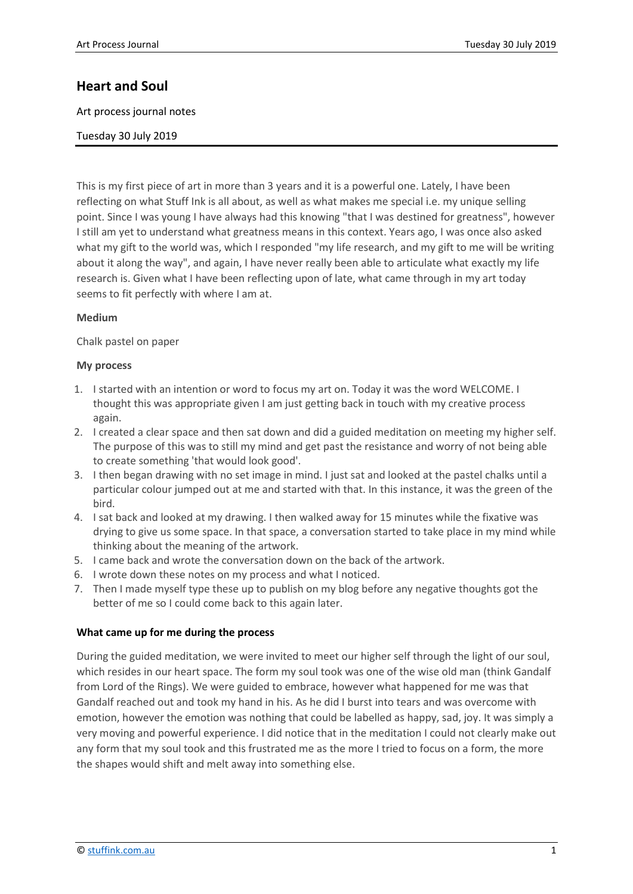# **Heart and Soul**

Art process journal notes

Tuesday 30 July 2019

This is my first piece of art in more than 3 years and it is a powerful one. Lately, I have been reflecting on what Stuff Ink is all about, as well as what makes me special i.e. my unique selling point. Since I was young I have always had this knowing "that I was destined for greatness", however I still am yet to understand what greatness means in this context. Years ago, I was once also asked what my gift to the world was, which I responded "my life research, and my gift to me will be writing about it along the way", and again, I have never really been able to articulate what exactly my life research is. Given what I have been reflecting upon of late, what came through in my art today seems to fit perfectly with where I am at.

### **Medium**

Chalk pastel on paper

#### **My process**

- 1. I started with an intention or word to focus my art on. Today it was the word WELCOME. I thought this was appropriate given I am just getting back in touch with my creative process again.
- 2. I created a clear space and then sat down and did a guided meditation on meeting my higher self. The purpose of this was to still my mind and get past the resistance and worry of not being able to create something 'that would look good'.
- 3. I then began drawing with no set image in mind. I just sat and looked at the pastel chalks until a particular colour jumped out at me and started with that. In this instance, it was the green of the bird.
- 4. I sat back and looked at my drawing. I then walked away for 15 minutes while the fixative was drying to give us some space. In that space, a conversation started to take place in my mind while thinking about the meaning of the artwork.
- 5. I came back and wrote the conversation down on the back of the artwork.
- 6. I wrote down these notes on my process and what I noticed.
- 7. Then I made myself type these up to publish on my blog before any negative thoughts got the better of me so I could come back to this again later.

### **What came up for me during the process**

During the guided meditation, we were invited to meet our higher self through the light of our soul, which resides in our heart space. The form my soul took was one of the wise old man (think Gandalf from Lord of the Rings). We were guided to embrace, however what happened for me was that Gandalf reached out and took my hand in his. As he did I burst into tears and was overcome with emotion, however the emotion was nothing that could be labelled as happy, sad, joy. It was simply a very moving and powerful experience. I did notice that in the meditation I could not clearly make out any form that my soul took and this frustrated me as the more I tried to focus on a form, the more the shapes would shift and melt away into something else.